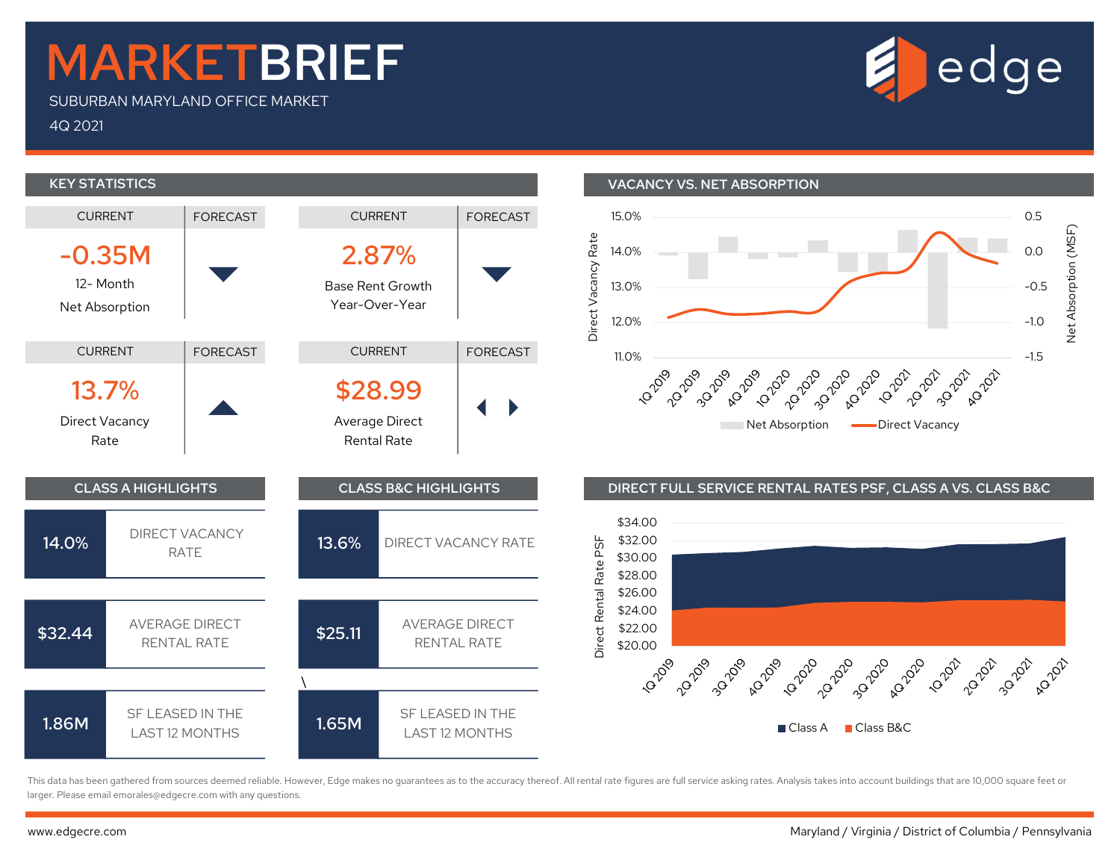## MARKETBRIEF

SUBURBAN MARYLAND OFFICE MARKET

4Q 2021



This data has been gathered from sources deemed reliable. However, Edge makes no guarantees as to the accuracy thereof. All rental rate figures are full service asking rates. Analysis takes into account buildings that are larger. Please email emorales@edgecre.com with any questions.